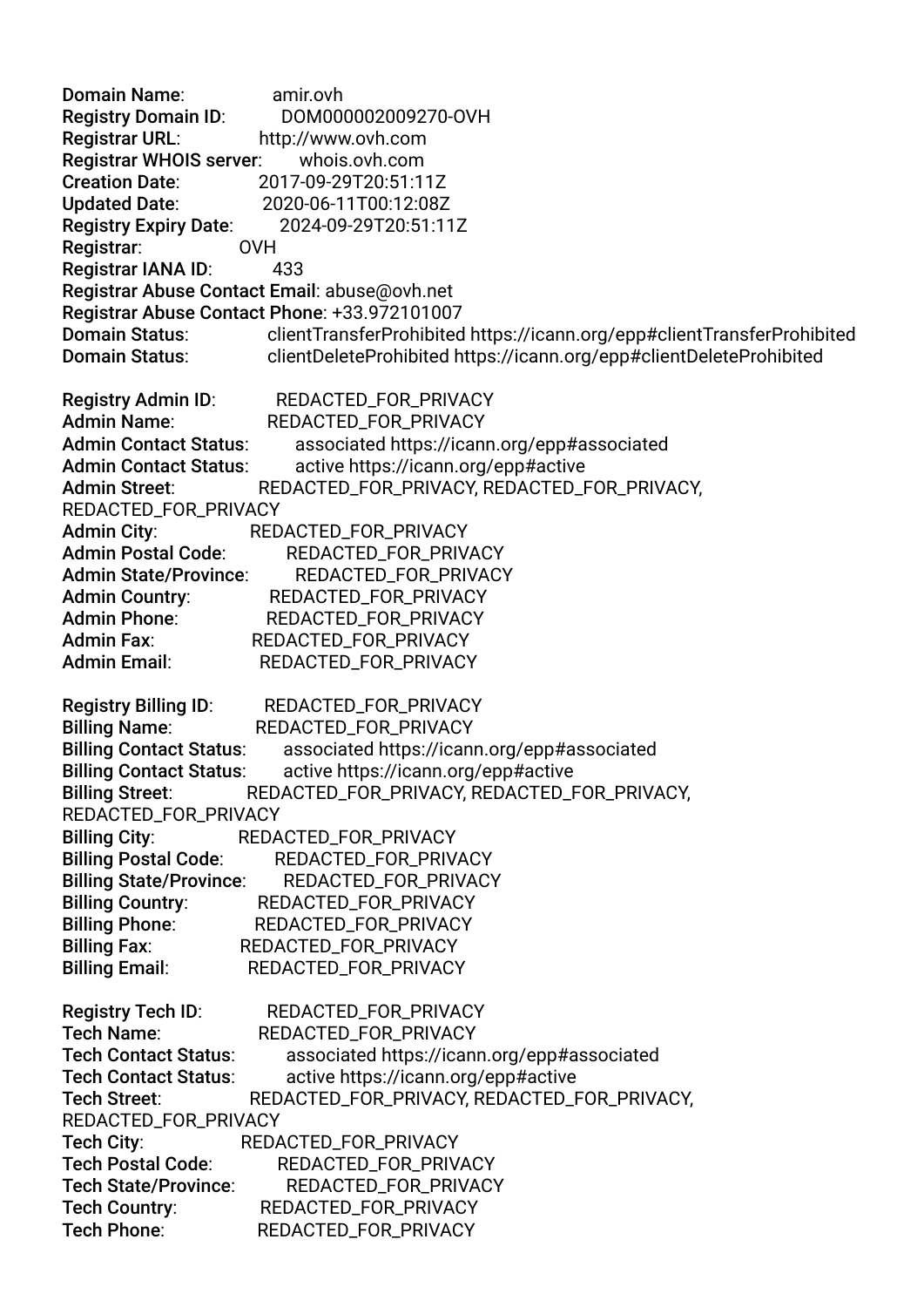Domain Name: amir.ovh Registry Domain ID: DOM000002009270-OVH Registrar URL: http://www.ovh.com Registrar WHOIS server: whois.ovh.com Creation Date: 2017-09-29T20:51:11Z Updated Date: 2020-06-11T00:12:08Z Registry Expiry Date: 2024-09-29T20:51:11Z Registrar: OVH Registrar IANA ID: 433 Registrar Abuse Contact Email: abuse@ovh.net Registrar Abuse Contact Phone: +33.972101007 Domain Status: clientTransferProhibited https://icann.org/epp#clientTransferProhibited Domain Status: clientDeleteProhibited https://icann.org/epp#clientDeleteProhibited Registry Admin ID: REDACTED\_FOR\_PRIVACY Admin Name: REDACTED\_FOR\_PRIVACY Admin Contact Status: associated https://icann.org/epp#associated Admin Contact Status: active https://icann.org/epp#active Admin Street: REDACTED\_FOR\_PRIVACY, REDACTED\_FOR\_PRIVACY, REDACTED\_FOR\_PRIVACY Admin City: REDACTED\_FOR\_PRIVACY Admin Postal Code: REDACTED\_FOR\_PRIVACY Admin State/Province: REDACTED\_FOR\_PRIVACY Admin Country: REDACTED FOR PRIVACY Admin Phone: REDACTED\_FOR\_PRIVACY Admin Fax: REDACTED\_FOR\_PRIVACY Admin Email: REDACTED\_FOR\_PRIVACY Registry Billing ID: REDACTED\_FOR\_PRIVACY Billing Name: REDACTED\_FOR\_PRIVACY Billing Contact Status: associated https://icann.org/epp#associated Billing Contact Status: active https://icann.org/epp#active Billing Street: REDACTED\_FOR\_PRIVACY, REDACTED\_FOR\_PRIVACY, REDACTED\_FOR\_PRIVACY Billing City: REDACTED\_FOR\_PRIVACY Billing Postal Code: REDACTED FOR PRIVACY Billing State/Province: REDACTED\_FOR\_PRIVACY Billing Country: REDACTED\_FOR\_PRIVACY Billing Phone: REDACTED\_FOR\_PRIVACY Billing Fax: REDACTED\_FOR\_PRIVACY Billing Email: REDACTED\_FOR\_PRIVACY Registry Tech ID: REDACTED\_FOR\_PRIVACY Tech Name: REDACTED FOR PRIVACY Tech Contact Status: associated https://icann.org/epp#associated Tech Contact Status: active https://icann.org/epp#active Tech Street: REDACTED\_FOR\_PRIVACY, REDACTED\_FOR\_PRIVACY, REDACTED\_FOR\_PRIVACY Tech City: REDACTED\_FOR\_PRIVACY Tech Postal Code: REDACTED\_FOR\_PRIVACY Tech State/Province: REDACTED\_FOR\_PRIVACY Tech Country: REDACTED\_FOR\_PRIVACY Tech Phone: REDACTED\_FOR\_PRIVACY